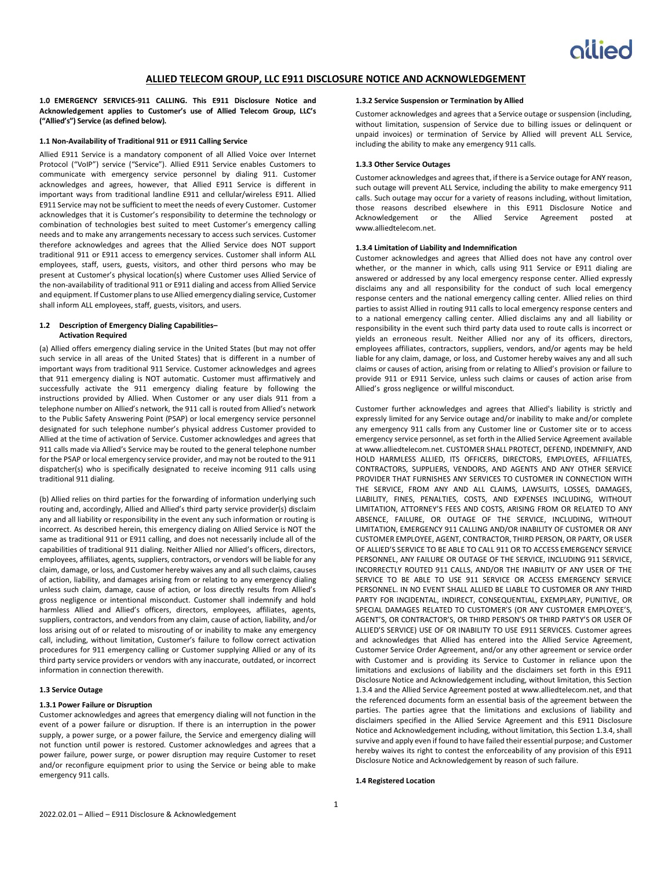# **ALLIED TELECOM GROUP, LLC E911 DISCLOSURE NOTICE AND ACKNOWLEDGEMENT**

**1.0 EMERGENCY SERVICES-911 CALLING. This E911 Disclosure Notice and Acknowledgement applies to Customer's use of Allied Telecom Group, LLC's ("Allied's") Service (as defined below).**

### **1.1 Non-Availability of Traditional 911 or E911 Calling Service**

Allied E911 Service is a mandatory component of all Allied Voice over Internet Protocol ("VoIP") service ("Service"). Allied E911 Service enables Customers to communicate with emergency service personnel by dialing 911. Customer acknowledges and agrees, however, that Allied E911 Service is different in important ways from traditional landline E911 and cellular/wireless E911. Allied E911 Service may not be sufficient to meet the needs of every Customer. Customer acknowledges that it is Customer's responsibility to determine the technology or combination of technologies best suited to meet Customer's emergency calling needs and to make any arrangements necessary to access such services. Customer therefore acknowledges and agrees that the Allied Service does NOT support traditional 911 or E911 access to emergency services. Customer shall inform ALL employees, staff, users, guests, visitors, and other third persons who may be present at Customer's physical location(s) where Customer uses Allied Service of the non-availability of traditional 911 or E911 dialing and access from Allied Service and equipment. If Customer plans to use Allied emergency dialing service, Customer shall inform ALL employees, staff, guests, visitors, and users.

# **1.2 Description of Emergency Dialing Capabilities– Activation Required**

(a) Allied offers emergency dialing service in the United States (but may not offer such service in all areas of the United States) that is different in a number of important ways from traditional 911 Service. Customer acknowledges and agrees that 911 emergency dialing is NOT automatic. Customer must affirmatively and successfully activate the 911 emergency dialing feature by following the instructions provided by Allied. When Customer or any user dials 911 from a telephone number on Allied's network, the 911 call is routed from Allied's network to the Public Safety Answering Point (PSAP) or local emergency service personnel designated for such telephone number's physical address Customer provided to Allied at the time of activation of Service. Customer acknowledges and agrees that 911 calls made via Allied's Service may be routed to the general telephone number for the PSAP or local emergency service provider, and may not be routed to the 911 dispatcher(s) who is specifically designated to receive incoming 911 calls using traditional 911 dialing.

(b) Allied relies on third parties for the forwarding of information underlying such routing and, accordingly, Allied and Allied's third party service provider(s) disclaim any and all liability or responsibility in the event any such information or routing is incorrect. As described herein, this emergency dialing on Allied Service is NOT the same as traditional 911 or E911 calling, and does not necessarily include all of the capabilities of traditional 911 dialing. Neither Allied nor Allied's officers, directors, employees, affiliates, agents, suppliers, contractors, or vendors will be liable for any claim, damage, or loss, and Customer hereby waives any and all such claims, causes of action, liability, and damages arising from or relating to any emergency dialing unless such claim, damage, cause of action, or loss directly results from Allied's gross negligence or intentional misconduct. Customer shall indemnify and hold harmless Allied and Allied's officers, directors, employees, affiliates, agents, suppliers, contractors, and vendors from any claim, cause of action, liability, and/or loss arising out of or related to misrouting of or inability to make any emergency call, including, without limitation, Customer's failure to follow correct activation procedures for 911 emergency calling or Customer supplying Allied or any of its third party service providers or vendors with any inaccurate, outdated, or incorrect information in connection therewith.

# **1.3 Service Outage**

## **1.3.1 Power Failure or Disruption**

Customer acknowledges and agrees that emergency dialing will not function in the event of a power failure or disruption. If there is an interruption in the power supply, a power surge, or a power failure, the Service and emergency dialing will not function until power is restored. Customer acknowledges and agrees that a power failure, power surge, or power disruption may require Customer to reset and/or reconfigure equipment prior to using the Service or being able to make emergency 911 calls.

# **1.3.2 Service Suspension or Termination by Allied**

Customer acknowledges and agrees that a Service outage or suspension (including, without limitation, suspension of Service due to billing issues or delinquent or unpaid invoices) or termination of Service by Allied will prevent ALL Service, including the ability to make any emergency 911 calls.

## **1.3.3 Other Service Outages**

Customer acknowledges and agrees that, if there is a Service outage for ANY reason, such outage will prevent ALL Service, including the ability to make emergency 911 calls. Such outage may occur for a variety of reasons including, without limitation, those reasons described elsewhere in this E911 Disclosure Notice and Acknowledgement or the Allied Service Agreement posted at www.alliedtelecom.net.

### **1.3.4 Limitation of Liability and Indemnification**

Customer acknowledges and agrees that Allied does not have any control over whether, or the manner in which, calls using 911 Service or E911 dialing are answered or addressed by any local emergency response center. Allied expressly disclaims any and all responsibility for the conduct of such local emergency response centers and the national emergency calling center. Allied relies on third parties to assist Allied in routing 911 calls to local emergency response centers and to a national emergency calling center. Allied disclaims any and all liability or responsibility in the event such third party data used to route calls is incorrect or yields an erroneous result. Neither Allied nor any of its officers, directors, employees affiliates, contractors, suppliers, vendors, and/or agents may be held liable for any claim, damage, or loss, and Customer hereby waives any and all such claims or causes of action, arising from or relating to Allied's provision or failure to provide 911 or E911 Service, unless such claims or causes of action arise from Allied's gross negligence or willful misconduct.

Customer further acknowledges and agrees that Allied's liability is strictly and expressly limited for any Service outage and/or inability to make and/or complete any emergency 911 calls from any Customer line or Customer site or to access emergency service personnel, as set forth in the Allied Service Agreement available at www.alliedtelecom.net. CUSTOMER SHALL PROTECT, DEFEND, INDEMNIFY, AND HOLD HARMLESS ALLIED, ITS OFFICERS, DIRECTORS, EMPLOYEES, AFFILIATES, CONTRACTORS, SUPPLIERS, VENDORS, AND AGENTS AND ANY OTHER SERVICE PROVIDER THAT FURNISHES ANY SERVICES TO CUSTOMER IN CONNECTION WITH THE SERVICE, FROM ANY AND ALL CLAIMS, LAWSUITS, LOSSES, DAMAGES, LIABILITY, FINES, PENALTIES, COSTS, AND EXPENSES INCLUDING, WITHOUT LIMITATION, ATTORNEY'S FEES AND COSTS, ARISING FROM OR RELATED TO ANY ABSENCE, FAILURE, OR OUTAGE OF THE SERVICE, INCLUDING, WITHOUT LIMITATION, EMERGENCY 911 CALLING AND/OR INABILITY OF CUSTOMER OR ANY CUSTOMER EMPLOYEE, AGENT, CONTRACTOR, THIRD PERSON, OR PARTY, OR USER OF ALLIED'S SERVICE TO BE ABLE TO CALL 911 OR TO ACCESS EMERGENCY SERVICE PERSONNEL, ANY FAILURE OR OUTAGE OF THE SERVICE, INCLUDING 911 SERVICE, INCORRECTLY ROUTED 911 CALLS, AND/OR THE INABILITY OF ANY USER OF THE SERVICE TO BE ABLE TO USE 911 SERVICE OR ACCESS EMERGENCY SERVICE PERSONNEL. IN NO EVENT SHALL ALLIED BE LIABLE TO CUSTOMER OR ANY THIRD PARTY FOR INCIDENTAL, INDIRECT, CONSEQUENTIAL, EXEMPLARY, PUNITIVE, OR SPECIAL DAMAGES RELATED TO CUSTOMER'S (OR ANY CUSTOMER EMPLOYEE'S, AGENT'S, OR CONTRACTOR'S, OR THIRD PERSON'S OR THIRD PARTY'S OR USER OF ALLIED'S SERVICE) USE OF OR INABILITY TO USE E911 SERVICES. Customer agrees and acknowledges that Allied has entered into the Allied Service Agreement, Customer Service Order Agreement, and/or any other agreement or service order with Customer and is providing its Service to Customer in reliance upon the limitations and exclusions of liability and the disclaimers set forth in this E911 Disclosure Notice and Acknowledgement including, without limitation, this Section 1.3.4 and the Allied Service Agreement posted at www.alliedtelecom.net, and that the referenced documents form an essential basis of the agreement between the parties. The parties agree that the limitations and exclusions of liability and disclaimers specified in the Allied Service Agreement and this E911 Disclosure Notice and Acknowledgement including, without limitation, this Section 1.3.4, shall survive and apply even if found to have failed their essential purpose; and Customer hereby waives its right to contest the enforceability of any provision of this E911 Disclosure Notice and Acknowledgement by reason of such failure.

#### **1.4 Registered Location**